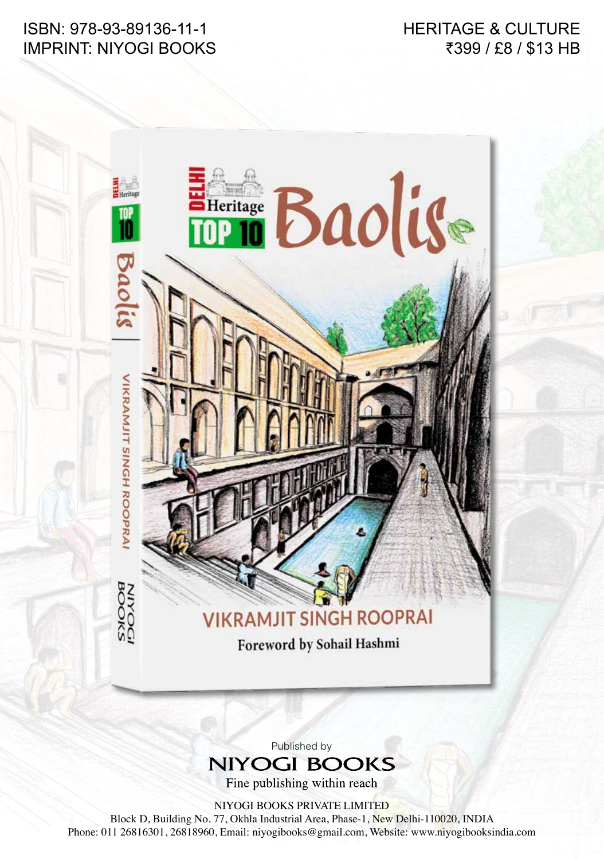ISBN: 978-93-89136-11-1 IMPRINT: NIYOGI BOOKS HERITAGE & CULTURE ₹399 / £8 / \$13 HB

## **EHeritage Baolise** VIKRAMJIT SINGH ROOPRA **MYOOKS IKRAMJIT SINGH ROOPRAI** Foreword by Sohail Hashmi

## Published by **NIYOGI BOOKS**

Fine publishing within reach

NIYOGI BOOKS PRIVATE LIMITED

Block D, Building No. 77, Okhla Industrial Area, Phase-1, New Delhi-110020, INDIA Phone: 011 26816301, 26818960, Email: niyogibooks@gmail.com, Website: www.niyogibooksindia.com